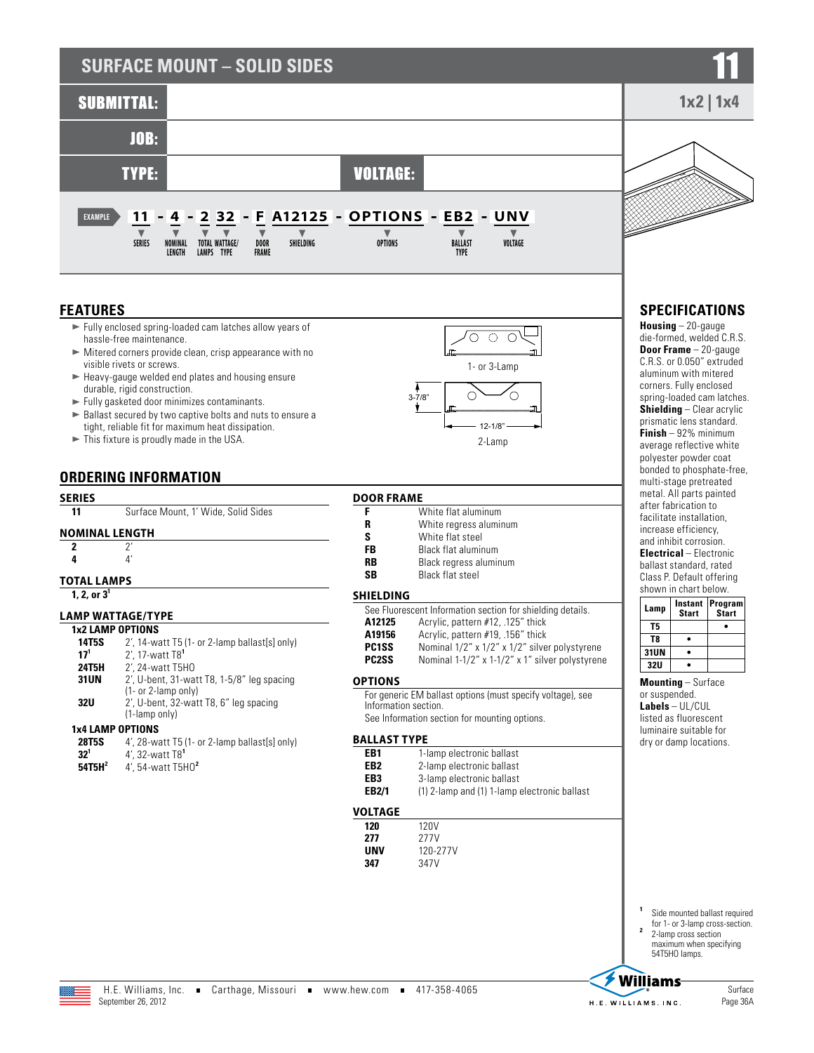# **SURFACE MOUNT - SOLID SIDES**



## **FEATURES**

- $\blacktriangleright$  Fully enclosed spring-loaded cam latches allow years of hassle-free maintenance.
- $\blacktriangleright$  Mitered corners provide clean, crisp appearance with no visible rivets or screws.
- $\blacktriangleright$  Heavy-gauge welded end plates and housing ensure durable, rigid construction.
- $\blacktriangleright$  Fully gasketed door minimizes contaminants.
- $\blacktriangleright$  Ballast secured by two captive bolts and nuts to ensure a tight, reliable fit for maximum heat dissipation.
- $\blacktriangleright$  This fixture is proudly made in the USA.

# **ORDERING INFORMATION**

## **SERIES 11** Surface Mount, 1' Wide, Solid Sides **NOMINAL LENGTH 2** 2' **4** 4' **TOTAL LAMPS 1, 2, or 3<sup>1</sup> LAMP WATTAGE/TYPE 1x2 LAMP OPTIONS**

| 14T5S        | 2', 14-watt T5 (1- or 2-lamp ballast[s] only) |
|--------------|-----------------------------------------------|
| $17^{1}$     | 2', 17-watt T8 <sup>1</sup>                   |
| <b>24T5H</b> | 2', 24-watt T5H0                              |
| <b>31UN</b>  | $2'$ , U-bent, 31-watt T8, 1-5/8" leg spacing |
|              | $(1- or 2-lamp only)$                         |
| <b>32U</b>   | 2', U-bent, 32-watt T8, 6" leg spacing        |
|              | (1-lamp only)                                 |
|              | <b>1x4 LAMP OPTIONS</b>                       |
| 20TRC        | 1' 28-watt T5 11- or 2-lamn hallaet[e] only)  |

| <b>28T5S</b> | 4', 28-watt T5 (1- or 2-lamp ballast[s] only) |
|--------------|-----------------------------------------------|
| $32^{1}$     | $4'$ , 32-watt $T8'$                          |
|              |                                               |

**54T5H<sup>2</sup>** 4', 54-watt T5HO**<sup>2</sup>**



**F** White flat aluminum<br>**R** White regress alumin **R** White regress aluminum<br> **S** White flat steel **S** White flat steel<br> **FR** Rlack flat alumin **FB** Black flat aluminum<br>**RB** Black regress alumin **RB** Black regress aluminum **SB** Black flat steel **SHIELDING** See Fluorescent Information section for shielding details.<br>**A12125** Acrylic. pattern #12..125" thick **A12125** Acrylic, pattern #12, .125" thick<br>**A19156** Acrylic, pattern #19, .156" thick **A19156** Acrylic, pattern #19, .156" thick<br>**PC1SS** Nominal 1/2" x 1/2" x 1/2" silve

**PC1SS** Nominal 1/2" x 1/2" x 1/2" silver polystyrene<br>**PC2SS** Nominal 1-1/2" x 1-1/2" x 1" silver polystyrene Nominal 1-1/2" x 1-1/2" x 1" silver polystyrene

## **OPTIONS**

**DOOR FRAME**

For generic EM ballast options (must specify voltage), see Information section. See Information section for mounting options.

#### **BALLAST TYPE**

| EB1   | 1-lamp electronic ballast                    |
|-------|----------------------------------------------|
| EB2   | 2-lamp electronic ballast                    |
| EB3   | 3-lamp electronic ballast                    |
| EB2/1 | (1) 2-lamp and (1) 1-lamp electronic ballast |

| VOLTAGE |  |
|---------|--|
| 17N     |  |

| 120 | 120V     |
|-----|----------|
| 277 | 277V     |
| UNV | 120-277V |
| 347 | 347V     |



# **SPECIFICATIONS**

**Housing** – 20-gauge die-formed, welded C.R.S. **Door Frame** – 20-gauge C.R.S. or 0.050" extruded aluminum with mitered corners. Fully enclosed spring-loaded cam latches. **Shielding** – Clear acrylic prismatic lens standard. **Finish** – 92% minimum average reflective white polyester powder coat bonded to phosphate-free, multi-stage pretreated metal. All parts painted after fabrication to facilitate installation, increase efficiency, and inhibit corrosion. **Electrical** – Electronic ballast standard, rated Class P. Default offering shown in chart below.

| Lamp       | <b>Start</b> | Instant   Program <br><b>Start</b> |  |  |  |  |
|------------|--------------|------------------------------------|--|--|--|--|
| T5         |              |                                    |  |  |  |  |
| T8         |              |                                    |  |  |  |  |
| 31UN       |              |                                    |  |  |  |  |
| <b>32U</b> |              |                                    |  |  |  |  |

**Mounting** – Surface or suspended. **Labels** – UL/CUL listed as fluorescent luminaire suitable for dry or damp locations.

**<sup>1</sup>** Side mounted ballast required

for 1- or 3-lamp cross-section.<br>2-lamp cross section maximum when specifying 54T5HO lamps.

Page 36A